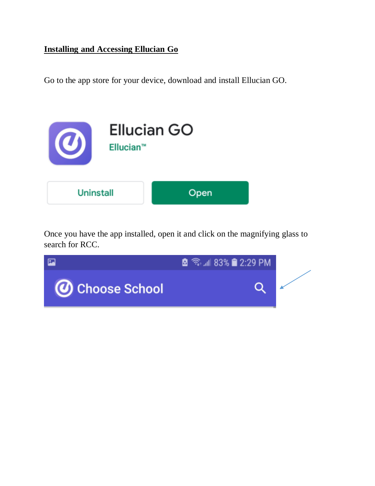## **Installing and Accessing Ellucian Go**

Go to the app store for your device, download and install Ellucian GO.



Once you have the app installed, open it and click on the magnifying glass to search for RCC.

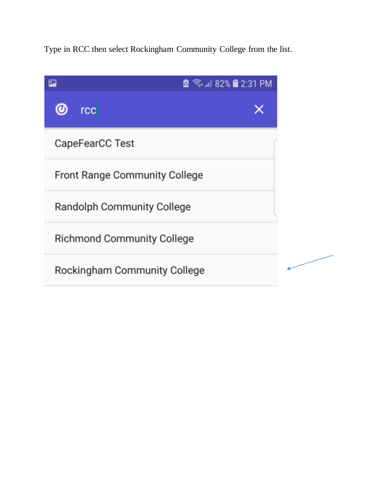Type in RCC then select Rockingham Community College from the list.

| Œ. |                                      | <b>6</b> <del><b>ি.</b> 182%</del> 2:31 PM |  |  |
|----|--------------------------------------|--------------------------------------------|--|--|
|    | <b>rcc</b>                           |                                            |  |  |
|    | CapeFearCC Test                      |                                            |  |  |
|    | <b>Front Range Community College</b> |                                            |  |  |
|    | <b>Randolph Community College</b>    |                                            |  |  |
|    | <b>Richmond Community College</b>    |                                            |  |  |
|    | Rockingham Community College         |                                            |  |  |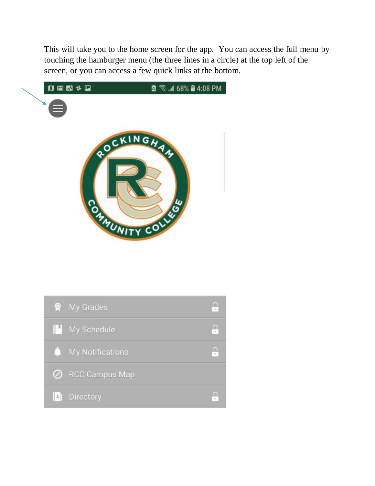This will take you to the home screen for the app. You can access the full menu by touching the hamburger menu (the three lines in a circle) at the top left of the screen, or you can access a few quick links at the bottom.



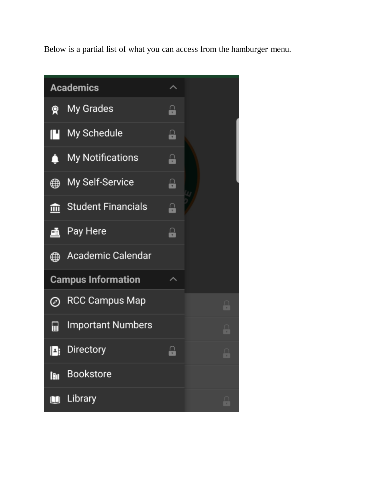Below is a partial list of what you can access from the hamburger menu.

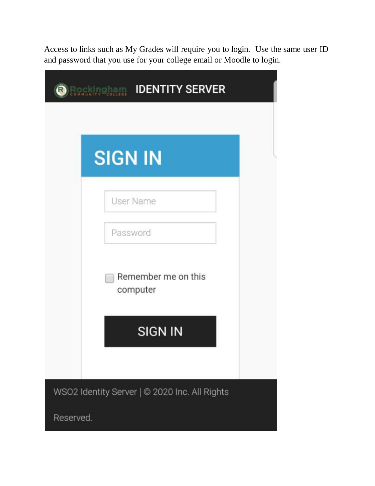Access to links such as My Grades will require you to login. Use the same user ID and password that you use for your college email or Moodle to login.

| <b>SIGN IN</b> |                                 |
|----------------|---------------------------------|
|                | <b>User Name</b>                |
| Password       |                                 |
| m              | Remember me on this<br>computer |
|                | <b>SIGN IN</b>                  |

Reserved.